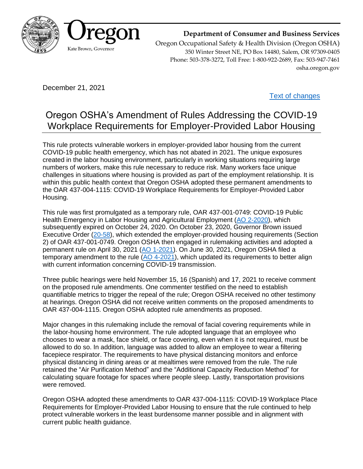

### **Department of Consumer and Business Services**

Oregon Occupational Safety & Health Division (Oregon OSHA) 350 Winter Street NE, PO Box 14480, Salem, OR 97309-0405 Phone: 503-378-3272, Toll Free: 1-800-922-2689, Fax: 503-947-7461 osha.oregon.gov

December 21, 2021

[Text of changes](https://osha.oregon.gov/OSHARules/adopted/2021/ao15-2021-text-covid19-laborhousing.pdf)

# Oregon OSHA's Amendment of Rules Addressing the COVID-19 Workplace Requirements for Employer-Provided Labor Housing

This rule protects vulnerable workers in employer-provided labor housing from the current COVID-19 public health emergency, which has not abated in 2021. The unique exposures created in the labor housing environment, particularly in working situations requiring large numbers of workers, make this rule necessary to reduce risk. Many workers face unique challenges in situations where housing is provided as part of the employment relationship. It is within this public health context that Oregon OSHA adopted these permanent amendments to the OAR 437-004-1115: COVID-19 Workplace Requirements for Employer-Provided Labor Housing.

This rule was first promulgated as a temporary rule, OAR 437-001-0749: COVID-19 Public Health Emergency in Labor Housing and Agricultural Employment [\(AO 2-2020\)](https://osha.oregon.gov/OSHARules/adopted/2020/ao2-2020-filing-emergency-rules-ag-covid.pdf), which subsequently expired on October 24, 2020. On October 23, 2020, Governor Brown issued Executive Order [\(20-58\)](https://www.oregon.gov/gov/Documents/executive_orders/eo_20-58.pdf), which extended the employer-provided housing requirements (Section 2) of OAR 437-001-0749. Oregon OSHA then engaged in rulemaking activities and adopted a permanent rule on April 30, 2021 [\(AO 1-2021\)](https://osha.oregon.gov/OSHARules/adopted/2021/ao1-2021-letter-cov19-laborhousing.pdf). On June 30, 2021, Oregon OSHA filed a temporary amendment to the rule  $(AO 4-2021)$ , which updated its requirements to better align with current information concerning COVID-19 transmission.

Three public hearings were held November 15, 16 (Spanish) and 17, 2021 to receive comment on the proposed rule amendments. One commenter testified on the need to establish quantifiable metrics to trigger the repeal of the rule; Oregon OSHA received no other testimony at hearings. Oregon OSHA did not receive written comments on the proposed amendments to OAR 437-004-1115. Oregon OSHA adopted rule amendments as proposed.

Major changes in this rulemaking include the removal of facial covering requirements while in the labor-housing home environment. The rule adopted language that an employee who chooses to wear a mask, face shield, or face covering, even when it is not required, must be allowed to do so. In addition, language was added to allow an employee to wear a filtering facepiece respirator. The requirements to have physical distancing monitors and enforce physical distancing in dining areas or at mealtimes were removed from the rule. The rule retained the "Air Purification Method" and the "Additional Capacity Reduction Method" for calculating square footage for spaces where people sleep. Lastly, transportation provisions were removed.

Oregon OSHA adopted these amendments to OAR 437-004-1115: COVID-19 Workplace Place Requirements for Employer-Provided Labor Housing to ensure that the rule continued to help protect vulnerable workers in the least burdensome manner possible and in alignment with current public health guidance.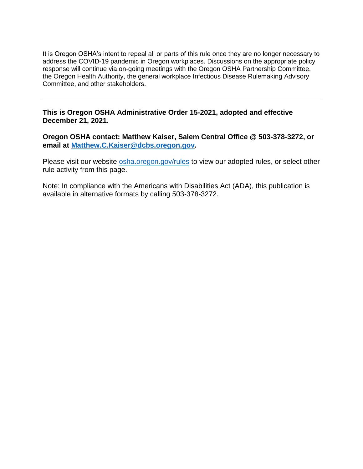It is Oregon OSHA's intent to repeal all or parts of this rule once they are no longer necessary to address the COVID-19 pandemic in Oregon workplaces. Discussions on the appropriate policy response will continue via on-going meetings with the Oregon OSHA Partnership Committee, the Oregon Health Authority, the general workplace Infectious Disease Rulemaking Advisory Committee, and other stakeholders.

#### **This is Oregon OSHA Administrative Order 15-2021, adopted and effective December 21, 2021.**

**Oregon OSHA contact: Matthew Kaiser, Salem Central Office @ 503-378-3272, or email at [Matthew.C.Kaiser@dcbs.oregon.gov.](mailto:Matthew.C.Kaiser@dcbs.oregon.gov)**

Please visit our website [osha.oregon.gov/rules](https://osha.oregon.gov/rules/) to view our adopted rules, or select other rule activity from this page.

Note: In compliance with the Americans with Disabilities Act (ADA), this publication is available in alternative formats by calling 503-378-3272.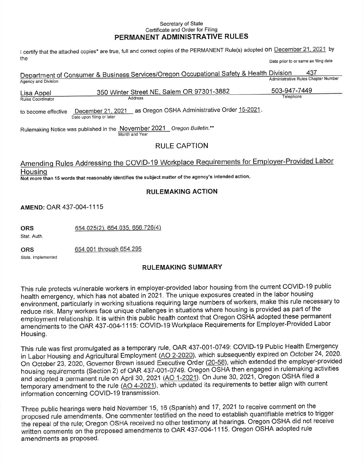#### Secretary of State Certificate and Order for Filing PERMANENT ADMINISTRATIVE RULES

I certify that the attached copies\* are true, full and correct copies of the PERMANENT Rule(s) adopted ON December 21, 2021 by the

| Date prior to or same as filing date |  |  |  |  |  |  |
|--------------------------------------|--|--|--|--|--|--|
|--------------------------------------|--|--|--|--|--|--|

|                                                                                                                                                                                                               | Department of Consumer & Business Services/Oregon Occupational Safety & Health Division | 437<br>Administrative Rules Chapter Number |  |  |  |
|---------------------------------------------------------------------------------------------------------------------------------------------------------------------------------------------------------------|-----------------------------------------------------------------------------------------|--------------------------------------------|--|--|--|
| Agency and Division<br>Lisa Appel<br><b>Rules Coordinator</b>                                                                                                                                                 | 350 Winter Street NE, Salem OR 97301-3882<br>Address                                    | 503-947-7449<br>Telephone                  |  |  |  |
| as Oregon OSHA Administrative Order 15-2021.<br>December 21, 2021<br>to become effective<br>Date upon filing or later                                                                                         |                                                                                         |                                            |  |  |  |
| Rulemaking Notice was published in the November 2021 Oregon Bulletin.**<br>Month and Year                                                                                                                     |                                                                                         |                                            |  |  |  |
| <b>RULE CAPTION</b>                                                                                                                                                                                           |                                                                                         |                                            |  |  |  |
| Amending Rules Addressing the COVID-19 Workplace Requirements for Employer-Provided Labor<br>Housing<br>Not more than 15 words that reasonably identifies the subject matter of the agency's intended action. |                                                                                         |                                            |  |  |  |
| <b>RULEMAKING ACTION</b>                                                                                                                                                                                      |                                                                                         |                                            |  |  |  |
| AMEND: OAR 437-004-1115                                                                                                                                                                                       |                                                                                         |                                            |  |  |  |

654.025(2), 654.035, 656.726(4) **ORS** 

Stat. Auth.

654,001 through 654.295 **ORS** 

Stats. Implemented

#### **RULEMAKING SUMMARY**

This rule protects vulnerable workers in employer-provided labor housing from the current COVID-19 public health emergency, which has not abated in 2021. The unique exposures created in the labor housing environment, particularly in working situations requiring large numbers of workers, make this rule necessary to reduce risk. Many workers face unique challenges in situations where housing is provided as part of the employment relationship. It is within this public health context that Oregon OSHA adopted these permanent amendments to the OAR 437-004-1115: COVID-19 Workplace Requirements for Employer-Provided Labor Housing.

This rule was first promulgated as a temporary rule, OAR 437-001-0749: COVID-19 Public Health Emergency in Labor Housing and Agricultural Employment (AO 2-2020), which subsequently expired on October 24, 2020. On October 23, 2020, Governor Brown issued Executive Order (20-58), which extended the employer-provided housing requirements (Section 2) of OAR 437-001-0749. Oregon OSHA then engaged in rulemaking activities and adopted a permanent rule on April 30, 2021 (AO 1-2021). On June 30, 2021, Oregon OSHA filed a temporary amendment to the rule (AO 4-2021), which updated its requirements to better align with current information concerning COVID-19 transmission.

Three public hearings were held November 15, 16 (Spanish) and 17, 2021 to receive comment on the proposed rule amendments. One commenter testified on the need to establish quantifiable metrics to trigger the repeal of the rule; Oregon OSHA received no other testimony at hearings. Oregon OSHA did not receive written comments on the proposed amendments to OAR 437-004-1115. Oregon OSHA adopted rule amendments as proposed.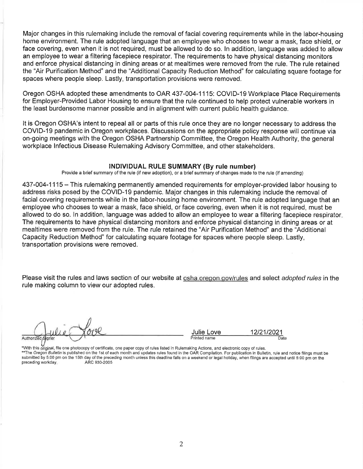Major changes in this rulemaking include the removal of facial covering requirements while in the labor-housing home environment. The rule adopted language that an employee who chooses to wear a mask, face shield, or face covering, even when it is not required, must be allowed to do so. In addition, language was added to allow an emplovee to wear a filtering facepiece respirator. The requirements to have physical distancing monitors and enforce physical distancing in dining areas or at mealtimes were removed from the rule. The rule retained the "Air Purification Method" and the "Additional Capacity Reduction Method" for calculating square footage for spaces where people sleep. Lastly, transportation provisions were removed.

Oregon OSHA adopted these amendments to OAR 437-004-1115: COVID-19 Workplace Place Requirements for Employer-Provided Labor Housing to ensure that the rule continued to help protect vulnerable workers in the least burdensome manner possible and in alignment with current public health quidance.

It is Oregon OSHA's intent to repeal all or parts of this rule once they are no longer necessary to address the COVID-19 pandemic in Oregon workplaces. Discussions on the appropriate policy response will continue via on-going meetings with the Oregon OSHA Partnership Committee, the Oregon Health Authority, the general workplace Infectious Disease Rulemaking Advisory Committee, and other stakeholders.

#### INDIVIDUAL RULE SUMMARY (By rule number)

Provide a brief summary of the rule (if new adoption), or a brief summary of changes made to the rule (if amending)

437-004-1115 – This rulemaking permanently amended requirements for employer-provided labor housing to address risks posed by the COVID-19 pandemic. Major changes in this rulemaking include the removal of facial covering requirements while in the labor-housing home environment. The rule adopted language that an employee who chooses to wear a mask, face shield, or face covering, even when it is not required, must be allowed to do so. In addition, language was added to allow an employee to wear a filtering facepiece respirator. The requirements to have physical distancing monitors and enforce physical distancing in dining areas or at mealtimes were removed from the rule. The rule retained the "Air Purification Method" and the "Additional Capacity Reduction Method" for calculating square footage for spaces where people sleep. Lastly, transportation provisions were removed.

Please visit the rules and laws section of our website at osha oregon gov/rules and select adopted rules in the rule making column to view our adopted rules.

Authorized Staner

Julie Love Printed name

12/21/2021 Date

\*With this original, file one photocopy of certificate, one paper copy of rules listed in Rulemaking Actions, and electronic copy of rules. \*\*The Oregon Bulletin is published on the 1st of each month and updates rules found in the OAR Compilation. For publication in Bulletin, rule and notice filings must be submitted by 5:00 pm on the 15th day of the preceding month unless this deadline falls on a weekend or legal holiday, when filings are accepted until 5:00 pm on the preceding workday. ARC 930-2005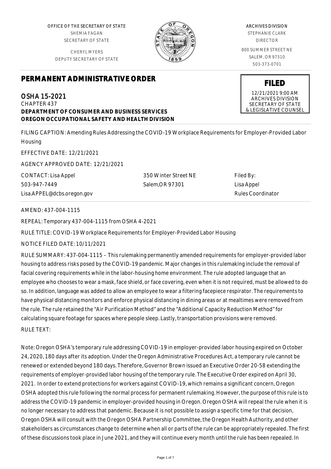OFFICE OF THE SECRETARY OF STATE SHEMIA FAGAN SECRETARY OF STATE

CHERYL MYERS DEPUTY SECRETARY OF STATE



OSHA 15-2021 CHAPTER 437 **DEPARTMENT OF CONSUMER AND BUSINESS SERVICES OREGON OCCUPATIONAL SAFETY AND HEALTH DIVISION**

FILING CAPTION: Amending Rules Addressing the COVID-19 Workplace Requirements for Employer-Provided Labor **Housing** 

EFFECTIVE DATE: 12/21/2021

AGENCY APPROVED DATE: 12/21/2021

CONTACT: Lisa Appel 503-947-7449 Lisa.APPEL@dcbs.oregon.gov

350 Winter Street NE Salem,OR 97301

Filed By: Lisa Appel Rules Coordinator

AMEND: 437-004-1115

REPEAL: Temporary 437-004-1115 from OSHA 4-2021

RULE TITLE: COVID-19 Workplace Requirements for Employer-Provided Labor Housing

NOTICE FILED DATE: 10/11/2021

RULE SUMMARY: 437-004-1115 – This rulemaking permanently amended requirements for employer-provided labor housing to address risks posed by the COVID-19 pandemic. Major changes in this rulemaking include the removal of facial covering requirements while in the labor-housing home environment. The rule adopted language that an employee who chooses to wear a mask, face shield, or face covering, even when it is not required, must be allowed to do so. In addition, language was added to allow an employee to wear a filtering facepiece respirator. The requirements to have physical distancing monitors and enforce physical distancing in dining areas or at mealtimes were removed from the rule. The rule retained the "Air Purification Method" and the "Additional Capacity Reduction Method" for calculating square footage for spaces where people sleep. Lastly, transportation provisions were removed. RULE TEXT:

Note: Oregon OSHA's temporary rule addressing COVID-19 in employer-provided labor housing expired on October 24, 2020, 180 days after its adoption. Under the Oregon Administrative Procedures Act, a temporary rule cannot be renewed or extended beyond 180 days. Therefore, Governor Brown issued an Executive Order 20-58 extending the requirements of employer-provided labor housing of the temporary rule. The Executive Order expired on April 30, 2021. In order to extend protections for workers against COVID-19, which remains a significant concern, Oregon OSHA adopted this rule following the normal process for permanent rulemaking. However, the purpose of this rule is to address the COVID-19 pandemic in employer-provided housing in Oregon. Oregon OSHA will repeal the rule when it is no longer necessary to address that pandemic. Because it is not possible to assign a specific time for that decision, Oregon OSHA will consult with the Oregon OSHA Partnership Committee, the Oregon Health Authority, and other stakeholders as circumstances change to determine when all or parts of the rule can be appropriately repealed. The first of these discussions took place in June 2021, and they will continue every month until the rule has been repealed. In

#### ARCHIVES DIVISION

STEPHANIE CLARK DIRECTOR

800 SUMMER STREET NE SALEM, OR 97310 503-373-0701

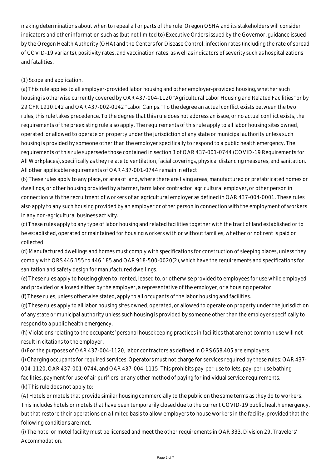making determinations about when to repeal all or parts of the rule, Oregon OSHA and its stakeholders will consider indicators and other information such as (but not limited to) Executive Orders issued by the Governor, guidance issued by the Oregon Health Authority (OHA) and the Centers for Disease Control, infection rates (including the rate of spread of COVID-19 variants), positivity rates, and vaccination rates, as well as indicators of severity such as hospitalizations and fatalities.

#### (1) Scope and application.

(a) This rule applies to all employer-provided labor housing and other employer-provided housing, whether such housing is otherwise currently covered by OAR 437-004-1120 "Agricultural Labor Housing and Related Facilities" or by 29 CFR 1910.142 and OAR 437-002-0142 "Labor Camps." To the degree an actual conflict exists between the two rules, this rule takes precedence. To the degree that this rule does not address an issue, or no actual conflict exists, the requirements of the preexisting rule also apply. The requirements of this rule apply to all labor housing sites owned, operated, or allowed to operate on property under the jurisdiction of any state or municipal authority unless such housing is provided by someone other than the employer specifically to respond to a public health emergency. The requirements of this rule supersede those contained in section 3 of OAR 437-001-0744 (COVID-19 Requirements for All Workplaces), specifically as they relate to ventilation, facial coverings, physical distancing measures, and sanitation. All other applicable requirements of OAR 437-001-0744 remain in effect.

(b) These rules apply to any place, or area of land, where there are living areas, manufactured or prefabricated homes or dwellings, or other housing provided by a farmer, farm labor contractor, agricultural employer, or other person in connection with the recruitment of workers of an agricultural employer as defined in OAR 437-004-0001. These rules also apply to any such housing provided by an employer or other person in connection with the employment of workers in any non-agricultural business activity.

(c) These rules apply to any type of labor housing and related facilities together with the tract of land established or to be established, operated or maintained for housing workers with or without families, whether or not rent is paid or collected.

(d) Manufactured dwellings and homes must comply with specifications for construction of sleeping places, unless they comply with ORS 446.155 to 446.185 and OAR 918-500-0020(2), which have the requirements and specifications for sanitation and safety design for manufactured dwellings.

(e) These rules apply to housing given to, rented, leased to, or otherwise provided to employees for use while employed and provided or allowed either by the employer, a representative of the employer, or a housing operator.

(f) These rules, unless otherwise stated, apply to all occupants of the labor housing and facilities.

(g) These rules apply to all labor housing sites owned, operated, or allowed to operate on property under the jurisdiction of any state or municipal authority unless such housing is provided by someone other than the employer specifically to respond to a public health emergency.

(h) Violations relating to the occupants' personal housekeeping practices in facilities that are not common use will not result in citations to the employer.

(i) For the purposes of OAR 437-004-1120, labor contractors as defined in ORS 658.405 are employers.

(j) Charging occupants for required services. Operators must not charge for services required by these rules: OAR 437- 004-1120, OAR 437-001-0744, and OAR 437-004-1115. This prohibits pay-per-use toilets, pay-per-use bathing facilities, payment for use of air purifiers, or any other method of paying for individual service requirements. (k) This rule does not apply to:

(A) Hotels or motels that provide similar housing commercially to the public on the same terms as they do to workers. This includes hotels or motels that have been temporarily closed due to the current COVID-19 public health emergency, but that restore their operations on a limited basis to allow employers to house workers in the facility, provided that the following conditions are met.

(i) The hotel or motel facility must be licensed and meet the other requirements in OAR 333, Division 29, Travelers' Accommodation.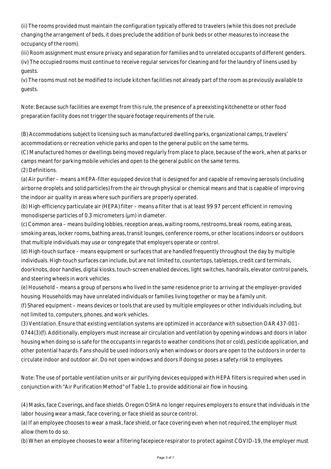(ii) The rooms provided must maintain the configuration typically offered to travelers (while this does not preclude changing the arrangement of beds, it does preclude the addition of bunk beds or other measures to increase the occupancy of the room).

(iii) Room assignment must ensure privacy and separation for families and to unrelated occupants of different genders. (iv) The occupied rooms must continue to receive regular services for cleaning and for the laundry of linens used by guests.

(v) The rooms must not be modified to include kitchen facilities not already part of the room as previously available to guests.

Note: Because such facilities are exempt from this rule, the presence of a preexisting kitchenette or other food preparation facility does not trigger the square footage requirements of the rule.

(B) Accommodations subject to licensing such as manufactured dwelling parks, organizational camps, travelers' accommodations or recreation vehicle parks and open to the general public on the same terms.

(C) Manufactured homes or dwellings being moved regularly from place to place, because of the work, when at parks or camps meant for parking mobile vehicles and open to the general public on the same terms.

(2) Definitions.

(a) Air purifier – means a HEPA-filter equipped device that is designed for and capable of removing aerosols (including airborne droplets and solid particles) from the air through physical or chemical means and that is capable of improving the indoor air quality in areas where such purifiers are properly operated.

(b) High-efficiency particulate air (HEPA) filter – means a filter that is at least 99.97 percent efficient in removing monodisperse particles of 0.3 micrometers ( $\mu$ m) in diameter.

(c) Common area – means building lobbies, reception areas, waiting rooms, restrooms, break rooms, eating areas, smoking areas, locker rooms, bathing areas, transit lounges, conference rooms, or other locations indoors or outdoors that multiple individuals may use or congregate that employers operate or control.

(d) High-touch surface – means equipment or surfaces that are handled frequently throughout the day by multiple individuals. High-touch surfaces can include, but are not limited to, countertops, tabletops, credit card terminals, doorknobs, door handles, digital kiosks, touch-screen enabled devices, light switches, handrails, elevator control panels, and steering wheels in work vehicles.

(e) Household – means a group of persons who lived in the same residence prior to arriving at the employer-provided housing. Households may have unrelated individuals or families living together or may be a family unit.

(f) Shared equipment – means devices or tools that are used by multiple employees or other individuals including, but not limited to, computers, phones, and work vehicles.

(3) Ventilation. Ensure that existing ventilation systems are optimized in accordance with subsection OAR 437-001- 0744(3)(f). Additionally, employers must increase air circulation and ventilation by opening windows and doors in labor housing when doing so is safe for the occupants in regards to weather conditions (hot or cold), pesticide application, and other potential hazards. Fans should be used indoors only when windows or doors are open to the outdoors in order to circulate indoor and outdoor air. Do not open windows and doors if doing so poses a safety risk to employees.

Note: The use of portable ventilation units or air purifying devices equipped with HEPA filters is required when used in conjunction with "Air Purification Method" of Table 1, to provide additional air flow in housing.

(4) Masks, face Coverings, and face shields. Oregon OSHA no longer requires employers to ensure that individuals in the labor housing wear a mask, face covering, or face shield as source control.

(a) If an employee chooses to wear a mask, face shield, or face covering even when not required, the employer must allow them to do so.

(b) When an employee chooses to wear a filtering facepiece respirator to protect against COVID-19, the employer must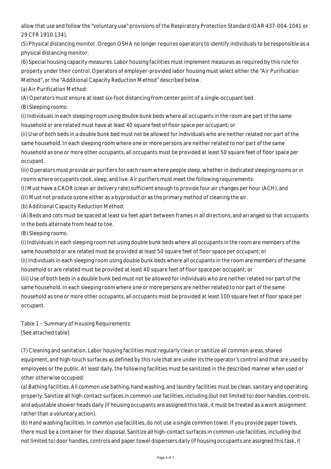allow that use and follow the "voluntary use" provisions of the Respiratory Protection Standard (OAR 437-004-1041 or 29 CFR 1910.134).

(5) Physical distancing monitor. Oregon OSHA no longer requires operators to identify individuals to be responsible as a physical distancing monitor.

(6) Special housing capacity measures. Labor housing facilities must implement measures as required by this rule for property under their control. Operators of employer-provided labor housing must select either the "Air Purification Method", or the "Additional Capacity Reduction Method" described below.

(a) Air Purification Method:

(A) Operators must ensure at least six-foot distancing from center point of a single-occupant bed.

(B) Sleeping rooms:

(i) Individuals in each sleeping room using double bunk beds where all occupants in the room are part of the same household or are related must have at least 40 square feet of floor space per occupant; or

(ii) Use of both beds in a double bunk bed must not be allowed for individuals who are neither related nor part of the same household. In each sleeping room where one or more persons are neither related to nor part of the same household as one or more other occupants, all occupants must be provided at least 50 square feet of floor space per occupant.

(iii) Operators must provide air purifiers for each room where people sleep, whether in dedicated sleeping rooms or in rooms where occupants cook, sleep, and live. Air purifiers must meet the following requirements:

(I) Must have a CADR (clean air delivery rate) sufficient enough to provide four air changes per hour (ACH), and

(II) Must not produce ozone either as a byproduct or as the primary method of cleaning the air.

(b) Additional Capacity Reduction Method:

(A) Beds and cots must be spaced at least six feet apart between frames in all directions, and arranged so that occupants in the beds alternate from head to toe.

(B) Sleeping rooms:

(i) Individuals in each sleeping room not using double bunk beds where all occupants in the room are members of the same household or are related must be provided at least 50 square feet of floor space per occupant; or

(ii) Individuals in each sleeping room using double bunk beds where all occupants in the room are members of the same household or are related must be provided at least 40 square feet of floor space per occupant; or

(iii) Use of both beds in a double bunk bed must not be allowed for individuals who are neither related nor part of the same household. In each sleeping room where one or more persons are neither related to nor part of the same household as one or more other occupants, all occupants must be provided at least 100 square feet of floor space per occupant.

Table 1 – Summary of Housing Requirements [See attached table]

(7) Cleaning and sanitation. Labor housing facilities must regularly clean or sanitize all common areas, shared equipment, and high-touch surfaces as defined by this rule that are under its the operator's control and that are used by employees or the public. At least daily, the following facilities must be sanitized in the described manner when used or other otherwise occupied.

(a) Bathing facilities. All common use bathing, hand washing, and laundry facilities must be clean, sanitary and operating properly. Sanitize all high-contact surfaces in common-use facilities, including (but not limited to) door handles, controls, and adjustable shower heads daily (if housing occupants are assigned this task, it must be treated as a work assignment rather than a voluntary action).

(b) Hand washing facilities. In common use facilities, do not use a single common towel. If you provide paper towels, there must be a container for their disposal. Sanitize all high-contact surfaces in common-use facilities, including (but not limited to) door handles, controls and paper towel dispensers daily (if housing occupants are assigned this task, it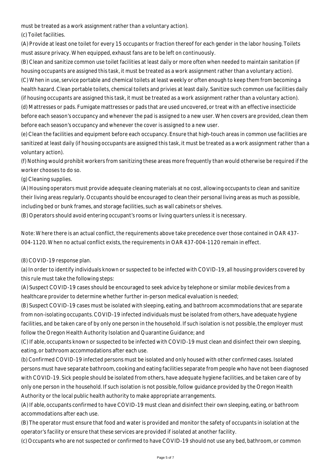must be treated as a work assignment rather than a voluntary action).

(c) Toilet facilities.

(A) Provide at least one toilet for every 15 occupants or fraction thereof for each gender in the labor housing. Toilets must assure privacy. When equipped, exhaust fans are to be left on continuously.

(B) Clean and sanitize common use toilet facilities at least daily or more often when needed to maintain sanitation (if housing occupants are assigned this task, it must be treated as a work assignment rather than a voluntary action). (C) When in use, service portable and chemical toilets at least weekly or often enough to keep them from becoming a health hazard. Clean portable toilets, chemical toilets and privies at least daily. Sanitize such common use facilities daily (if housing occupants are assigned this task, it must be treated as a work assignment rather than a voluntary action).

(d) Mattresses or pads. Fumigate mattresses or pads that are used uncovered, or treat with an effective insecticide before each season's occupancy and whenever the pad is assigned to a new user. When covers are provided, clean them before each season's occupancy and whenever the cover is assigned to a new user.

(e) Clean the facilities and equipment before each occupancy. Ensure that high-touch areas in common use facilities are sanitized at least daily (if housing occupants are assigned this task, it must be treated as a work assignment rather than a voluntary action).

(f) Nothing would prohibit workers from sanitizing these areas more frequently than would otherwise be required if the worker chooses to do so.

(g) Cleaning supplies.

(A) Housing operators must provide adequate cleaning materials at no cost, allowing occupants to clean and sanitize their living areas regularly. Occupants should be encouraged to clean their personal living areas as much as possible, including bed or bunk frames, and storage facilities, such as wall cabinets or shelves.

(B) Operators should avoid entering occupant's rooms or living quarters unless it is necessary.

Note: Where there is an actual conflict, the requirements above take precedence over those contained in OAR 437- 004-1120. When no actual conflict exists, the requirements in OAR 437-004-1120 remain in effect.

(8) COVID-19 response plan.

(a) In order to identify individuals known or suspected to be infected with COVID-19, all housing providers covered by this rule must take the following steps:

(A) Suspect COVID-19 cases should be encouraged to seek advice by telephone or similar mobile devices from a healthcare provider to determine whether further in-person medical evaluation is needed;

(B) Suspect COVID-19 cases must be isolated with sleeping, eating, and bathroom accommodations that are separate from non-isolating occupants. COVID-19 infected individuals must be isolated from others, have adequate hygiene facilities, and be taken care of by only one person in the household. If such isolation is not possible, the employer must follow the Oregon Health Authority Isolation and Quarantine Guidance; and

(C) If able, occupants known or suspected to be infected with COVID-19 must clean and disinfect their own sleeping, eating, or bathroom accommodations after each use.

(b) Confirmed COVID-19 infected persons must be isolated and only housed with other confirmed cases. Isolated persons must have separate bathroom, cooking and eating facilities separate from people who have not been diagnosed with COVID-19. Sick people should be isolated from others, have adequate hygiene facilities, and be taken care of by only one person in the household. If such isolation is not possible, follow guidance provided by the Oregon Health Authority or the local public health authority to make appropriate arrangements.

(A) If able, occupants confirmed to have COVID-19 must clean and disinfect their own sleeping, eating, or bathroom accommodations after each use.

(B) The operator must ensure that food and water is provided and monitor the safety of occupants in isolation at the operator's facility or ensure that these services are provided if isolated at another facility.

(c) Occupants who are not suspected or confirmed to have COVID-19 should not use any bed, bathroom, or common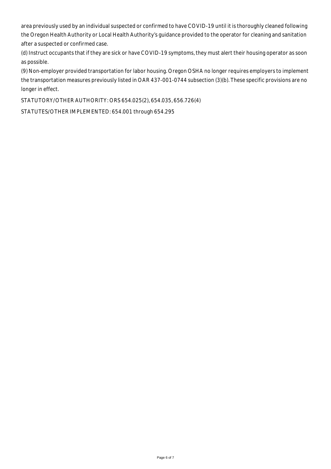area previously used by an individual suspected or confirmed to have COVID-19 until it is thoroughly cleaned following the Oregon Health Authority or Local Health Authority's guidance provided to the operator for cleaning and sanitation after a suspected or confirmed case.

(d) Instruct occupants that if they are sick or have COVID-19 symptoms, they must alert their housing operator as soon as possible.

(9) Non-employer provided transportation for labor housing. Oregon OSHA no longer requires employers to implement the transportation measures previously listed in OAR 437-001-0744 subsection (3)(b). These specific provisions are no longer in effect.

STATUTORY/OTHER AUTHORITY: ORS 654.025(2), 654.035, 656.726(4)

STATUTES/OTHER IMPLEMENTED: 654.001 through 654.295